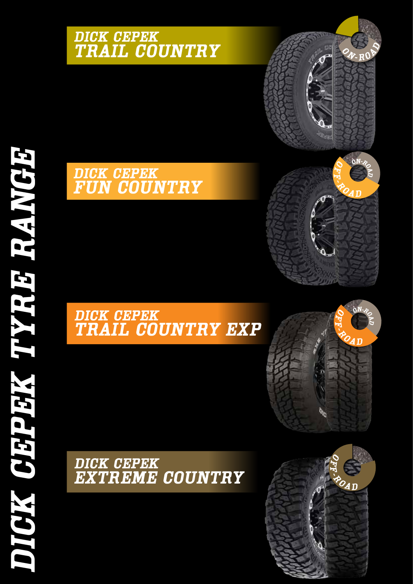## *DICK CEPEK TRAIL COUNTRY*

## *DICK CEPEK FUN COUNTRY*

## *DICK CEPEK TRAIL COUNTRY EXP*

*DICK CEPEK EXTREME COUNTRY*









*<sup>O</sup> <sup>N</sup> -R***ROP**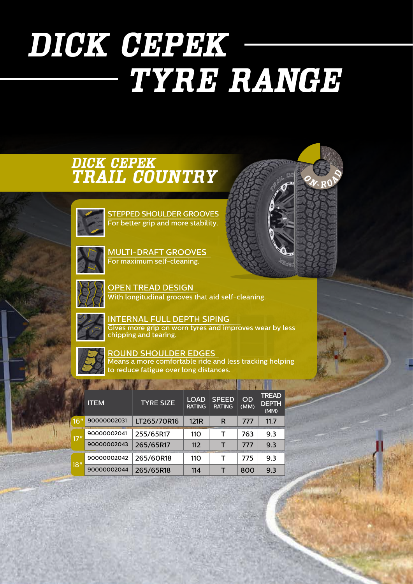# *DICK CEPEK TYRE RANGE*

## *DICK CEPEK TRAIL COUNTRY*



STEPPED SHOULDER GROOVES For better grip and more stability.



MULTI-DRAFT GROOVES For maximum self-cleaning.



OPEN TREAD DESIGN With longitudinal grooves that aid self-cleaning.



INTERNAL FULL DEPTH SIPING Gives more grip on worn tyres and improves wear by less chipping and tearing.

 $O_{N}$  *R***A**  $\theta$   $\theta$ 



ROUND SHOULDER EDGES Means a more comfortable ride and less tracking helping to reduce fatigue over long distances.

| <b>ITEM</b> | <b>TYRE SIZE</b> | <b>LOAD</b><br><b>RATING</b> | <b>SPEED</b><br><b>RATING</b> | <b>OD</b><br>(MM) | <b>TREAD</b><br><b>DEPTH</b><br>(MM) |
|-------------|------------------|------------------------------|-------------------------------|-------------------|--------------------------------------|
| 90000002031 | LT265/70R16      | 121 <sub>R</sub>             | R                             | 777               | 11.7                                 |
| 90000002041 | 255/65R17        | 110                          | т                             | 763               | 9.3                                  |
| 90000002043 | 265/65R17        | 112                          | т                             | 777               | 9.3                                  |
| 90000002042 | 265/60R18        | 110                          | т                             | 775               | 9.3                                  |
| 90000002044 | 265/65R18        | 114                          | т                             | 800               | 9.3                                  |
|             |                  |                              |                               |                   |                                      |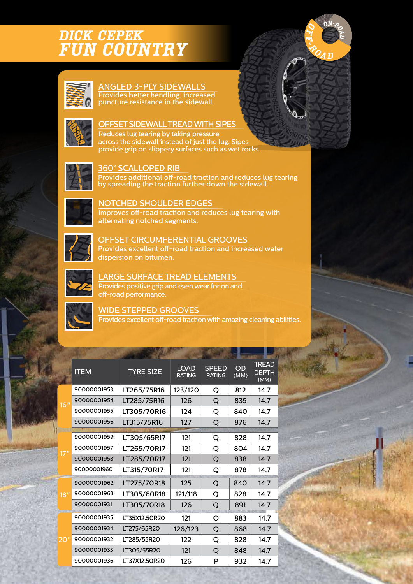## *DICK CEPEK FUN COUNTRY*



#### ANGLED 3-PLY SIDEWALLS Provides better hendling, increased puncture resistance in the sidewall.



#### OFFSET SIDEWALL TREAD WITH SIPES

Reduces lug tearing by taking pressure across the sidewall instead of just the lug. Sipes provide grip on slippery surfaces such as wet rocks.



#### 360° SCALLOPED RIB

Provides additional off-road traction and reduces lug tearing by spreading the traction further down the sidewall.

*<sup>O</sup>N-ROAD*

*O F F*

*- <sup>R</sup> <sup>O</sup> <sup>A</sup> <sup>D</sup>*



#### NOTCHED SHOULDER EDGES

Improves off-road traction and reduces lug tearing with alternating notched segments.



### OFFSET CIRCUMFERENTIAL GROOVES

Provides excellent off-road traction and increased water dispersion on bitumen.



#### LARGE SURFACE TREAD ELEMENTS

Provides positive grip and even wear for on and off-road performance.



#### WIDE STEPPED GROOVES

Provides excellent off-road traction with amazing cleaning abilities.

|             | <b>ITEM</b> | <b>TYRE SIZE</b> | <b>LOAD</b><br><b>RATING</b> | <b>SPEED</b><br><b>RATING</b> | OD<br>(MM) | <b>TREAD</b><br><b>DEPTH</b><br>(MM) |
|-------------|-------------|------------------|------------------------------|-------------------------------|------------|--------------------------------------|
| 16"         | 90000001953 | LT265/75R16      | 123/120                      | O                             | 812        | 14.7                                 |
|             | 90000001954 | LT285/75R16      | 126                          | O                             | 835        | 14.7                                 |
|             | 90000001955 | LT305/70R16      | 124                          | Q                             | 840        | 14.7                                 |
|             | 90000001956 | LT315/75R16      | 127                          | Q                             | 876        | 14.7                                 |
|             |             |                  |                              |                               |            |                                      |
|             | 90000001959 | LT305/65R17      | 121                          | O                             | 828        | 14.7                                 |
| 17"         | 90000001957 | LT265/70R17      | 121                          | Q                             | 804        | 14.7                                 |
|             | 90000001958 | LT285/70R17      | 121                          | Q                             | 838        | 14.7                                 |
|             | 90000001960 | LT315/70R17      | 121                          | O                             | 878        | 14.7                                 |
|             | 90000001962 | LT275/70R18      | 125                          | Q                             | 840        | 14.7                                 |
| <u> 18"</u> | 90000001963 | LT305/60R18      | 121/118                      | Q                             | 828        | 14.7                                 |
|             | 90000001931 | LT305/70R18      | 126                          | Q                             | 891        | 14.7                                 |
| 20."        | 90000001935 | LT35X12.50R20    | 121                          | Q                             | 883        | 14.7                                 |
|             | 90000001934 | LT275/65R20      | 126/123                      | Q                             | 868        | 14.7                                 |
|             | 90000001932 | LT285/55R20      | 122                          | O                             | 828        | 14.7                                 |
|             | 90000001933 | LT305/55R20      | 121                          | Q                             | 848        | 14.7                                 |
|             | 90000001936 | LT37X12.50R20    | 126                          | P                             | 932        | 14.7                                 |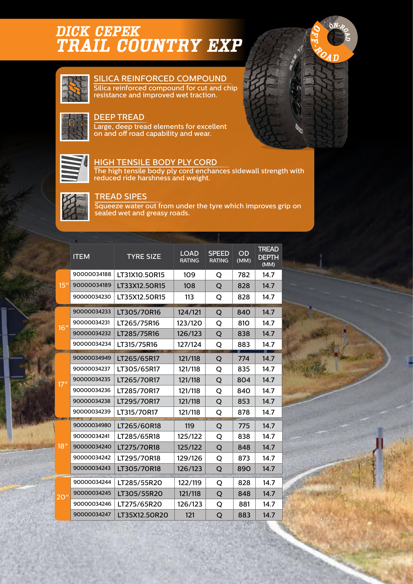## *DICK CEPEK TRAIL COUNTRY EXP*



#### SILICA REINFORCED COMPOUND

Silica reinforced compound for cut and chip resistance and improved wet traction.

#### DEEP TREAD

Large, deep tread elements for excellent on and off road capability and wear.



#### HIGH TENSILE BODY PLY CORD

The high tensile body ply cord enchances sidewall strength with reduced ride harshness and weight.

*<sup>O</sup>N-ROAD*

*O F F*

*- <sup>R</sup> <sup>O</sup> <sup>A</sup> <sup>D</sup>*



#### TREAD SIPES

Squeeze water out from under the tyre which improves grip on sealed wet and greasy roads.

|     | <b>ITEM</b> | <b>TYRE SIZE</b> | <b>LOAD</b><br><b>RATING</b> | <b>SPEED</b><br><b>RATING</b> | OD<br>(MM) | <b>TREAD</b><br><b>DEPTH</b><br>(MM) |
|-----|-------------|------------------|------------------------------|-------------------------------|------------|--------------------------------------|
| 15" | 90000034188 | LT31X10.50R15    | 109                          | Q                             | 782        | 14.7                                 |
|     | 90000034189 | LT33X12.50R15    | 108                          | Q                             | 828        | 14.7                                 |
|     | 90000034230 | LT35X12.50R15    | 113                          | Q                             | 828        | 14.7                                 |
| 16" | 90000034233 | LT305/70R16      | 124/121                      | Q                             | 840        | 14.7                                 |
|     | 90000034231 | LT265/75R16      | 123/120                      | Q                             | 810        | 14.7                                 |
|     | 90000034232 | LT285/75R16      | 126/123                      | Q                             | 838        | 14.7                                 |
|     | 90000034234 | LT315/75R16      | 127/124                      | Q                             | 883        | 14.7                                 |
| 17" | 90000034949 | LT265/65R17      | 121/118                      | Q                             | 774        | 14.7                                 |
|     | 90000034237 | LT305/65R17      | 121/118                      | Q                             | 835        | 14.7                                 |
|     | 90000034235 | LT265/70R17      | 121/118                      | Q                             | 804        | 14.7                                 |
|     | 90000034236 | LT285/70R17      | 121/118                      | Q                             | 840        | 14.7                                 |
|     | 90000034238 | LT295/70R17      | 121/118                      | Q                             | 853        | 14.7                                 |
|     | 90000034239 | LT315/70R17      | 121/118                      | Q                             | 878        | 14.7                                 |
|     | 90000034980 | LT265/60R18      | 119                          | Q                             | 775        | 14.7                                 |
|     | 90000034241 | LT285/65R18      | 125/122                      | Q                             | 838        | 14.7                                 |
| 18" | 90000034240 | LT275/70R18      | 125/122                      | Q                             | 848        | 14.7                                 |
|     | 90000034242 | LT295/70R18      | 129/126                      | Q                             | 873        | 14.7                                 |
|     | 90000034243 | LT305/70R18      | 126/123                      | Q                             | 890        | 14.7                                 |
| 20" | 90000034244 | LT285/55R20      | 122/119                      | Q                             | 828        | 14.7                                 |
|     | 90000034245 | LT305/55R20      | 121/118                      | Q                             | 848        | 14.7                                 |
|     | 90000034246 | LT275/65R20      | 126/123                      | Q                             | 881        | 14.7                                 |
|     | 90000034247 | LT35X12.50R20    | 121                          | Q                             | 883        | 14.7                                 |